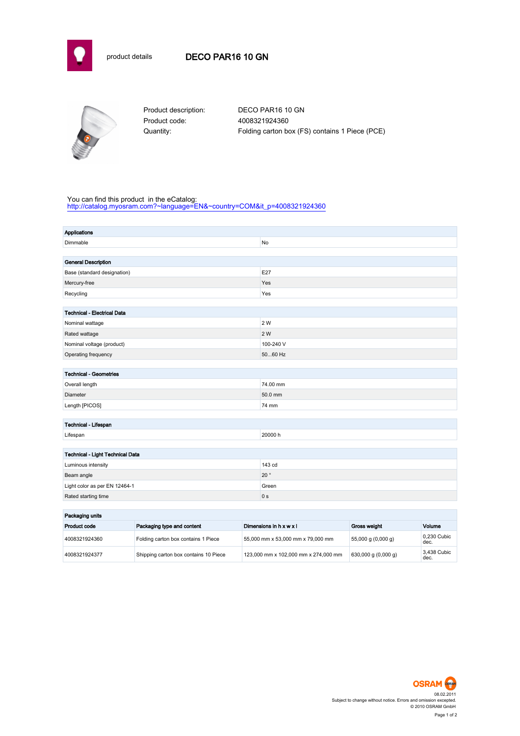



Product code: 4008321924360

Product description: DECO PAR16 10 GN Quantity: Folding carton box (FS) contains 1 Piece (PCE)

## You can find this product in the eCatalog:

[http://catalog.myosram.com?~language=EN&~country=COM&it\\_p=4008321924360](http://catalog.myosram.com?~language=EN&~country=COM&it_p=4008321924360)

| <b>Applications</b>                        |                                     |                         |                                   |                    |             |
|--------------------------------------------|-------------------------------------|-------------------------|-----------------------------------|--------------------|-------------|
| Dimmable                                   |                                     | No                      |                                   |                    |             |
|                                            |                                     |                         |                                   |                    |             |
| <b>General Description</b>                 |                                     |                         |                                   |                    |             |
| Base (standard designation)                |                                     | E27                     |                                   |                    |             |
| Mercury-free                               |                                     |                         | Yes                               |                    |             |
| Recycling                                  |                                     | Yes                     |                                   |                    |             |
|                                            |                                     |                         |                                   |                    |             |
| <b>Technical - Electrical Data</b>         |                                     |                         |                                   |                    |             |
| Nominal wattage                            |                                     | 2 W                     |                                   |                    |             |
| Rated wattage                              |                                     | 2 W                     |                                   |                    |             |
| Nominal voltage (product)                  |                                     | 100-240 V               |                                   |                    |             |
| Operating frequency                        |                                     | 5060 Hz                 |                                   |                    |             |
|                                            |                                     |                         |                                   |                    |             |
| <b>Technical - Geometries</b>              |                                     |                         |                                   |                    |             |
| Overall length                             |                                     | 74.00 mm                |                                   |                    |             |
| Diameter                                   |                                     |                         | 50.0 mm                           |                    |             |
| Length [PICOS]                             |                                     | 74 mm                   |                                   |                    |             |
|                                            |                                     |                         |                                   |                    |             |
| Technical - Lifespan                       |                                     |                         |                                   |                    |             |
| Lifespan                                   |                                     | 20000 h                 |                                   |                    |             |
|                                            |                                     |                         |                                   |                    |             |
| Technical - Light Technical Data           |                                     |                         |                                   |                    |             |
| Luminous intensity                         |                                     |                         | 143 cd                            |                    |             |
| Beam angle                                 |                                     |                         | $20^{\circ}$                      |                    |             |
| Light color as per EN 12464-1              |                                     |                         | Green                             |                    |             |
| Rated starting time                        |                                     |                         | 0 <sub>s</sub>                    |                    |             |
| Packaging units                            |                                     |                         |                                   |                    |             |
| Packaging type and content<br>Product code |                                     | Dimensions in h x w x l | Gross weight                      | Volume             |             |
|                                            |                                     |                         |                                   |                    | 0,230 Cubic |
| 4008321924360                              | Folding carton box contains 1 Piece |                         | 55,000 mm x 53,000 mm x 79,000 mm | 55,000 g (0,000 g) | dec.        |

4008321924377 Shipping carton box contains 10 Piece 123,000 mm x 102,000 mm x 274,000 mm 630,000 g (0,000 g)



3,438 Cubic<br>dec.